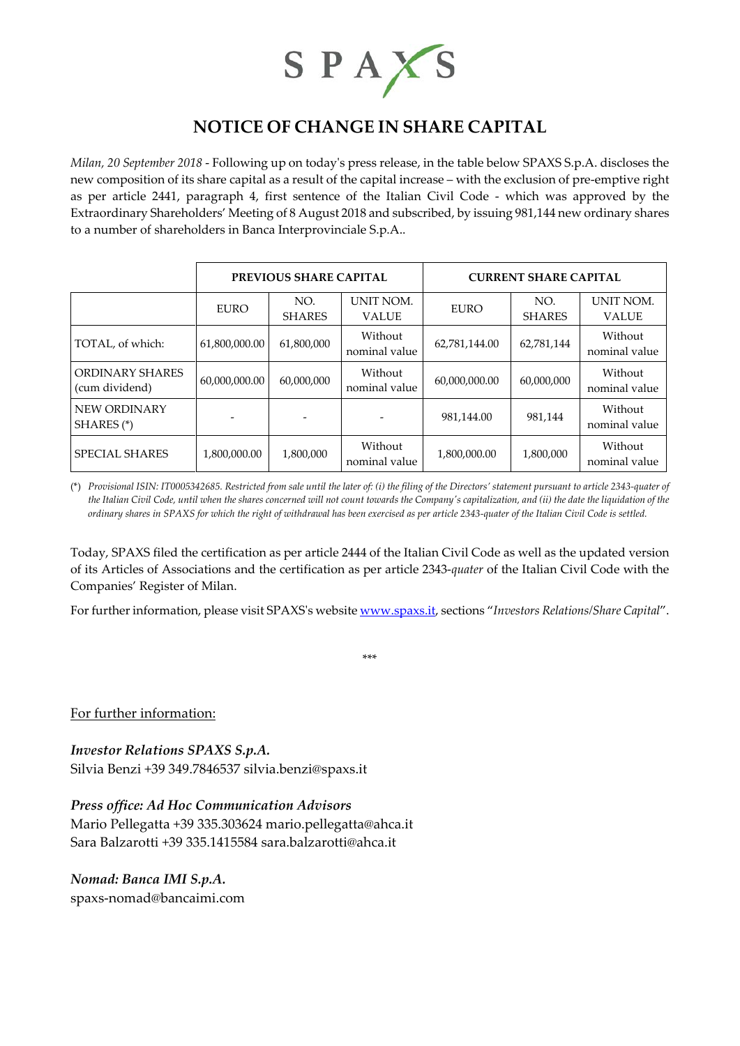

## **NOTICE OF CHANGE IN SHARE CAPITAL**

*Milan, 20 September 2018* - Following up on today's press release, in the table below SPAXS S.p.A. discloses the new composition of its share capital as a result of the capital increase – with the exclusion of pre-emptive right as per article 2441, paragraph 4, first sentence of the Italian Civil Code - which was approved by the Extraordinary Shareholders' Meeting of 8 August 2018 and subscribed, by issuing 981,144 new ordinary shares to a number of shareholders in Banca Interprovinciale S.p.A..

|                                   | <b>PREVIOUS SHARE CAPITAL</b> |                      |                           | <b>CURRENT SHARE CAPITAL</b> |                      |                           |
|-----------------------------------|-------------------------------|----------------------|---------------------------|------------------------------|----------------------|---------------------------|
|                                   | <b>EURO</b>                   | NO.<br><b>SHARES</b> | UNIT NOM.<br><b>VALUE</b> | <b>EURO</b>                  | NO.<br><b>SHARES</b> | UNIT NOM.<br><b>VALUE</b> |
| TOTAL, of which:                  | 61,800,000.00                 | 61,800,000           | Without<br>nominal value  | 62,781,144.00                | 62,781,144           | Without<br>nominal value  |
| ORDINARY SHARES<br>(cum dividend) | 60,000,000.00                 | 60,000,000           | Without<br>nominal value  | 60,000,000.00                | 60,000,000           | Without<br>nominal value  |
| NEW ORDINARY<br>SHARES (*)        |                               |                      |                           | 981,144.00                   | 981,144              | Without<br>nominal value  |
| <b>SPECIAL SHARES</b>             | 1,800,000.00                  | 1,800,000            | Without<br>nominal value  | 1,800,000.00                 | 1,800,000            | Without<br>nominal value  |

(\*) *Provisional ISIN: IT0005342685. Restricted from sale until the later of: (i) the filing of the Directors' statement pursuant to article 2343-quater of the Italian Civil Code, until when the shares concerned will not count towards the Company's capitalization, and (ii) the date the liquidation of the ordinary shares in SPAXS for which the right of withdrawal has been exercised as per article 2343-quater of the Italian Civil Code is settled.*

Today, SPAXS filed the certification as per article 2444 of the Italian Civil Code as well as the updated version of its Articles of Associations and the certification as per article 2343-*quater* of the Italian Civil Code with the Companies' Register of Milan.

For further information, please visit SPAXS's websit[e www.spaxs.it,](http://www.spaxs.it/) sections "Investors Relations/Share Capital".

\*\*\*

For further information:

*Investor Relations SPAXS S.p.A.*

Silvia Benzi +39 349.7846537 [silvia.benzi@spaxs.it](mailto:silvia.benzi@spaxs.it)

## *Press office: Ad Hoc Communication Advisors*

Mario Pellegatta +39 335.303624 [mario.pellegatta@ahca.it](mailto:mario.pellegatta@ahca.it) Sara Balzarotti +39 335.1415584 [sara.balzarotti@ahca.it](mailto:sara.balzarotti@ahca.it)

## *Nomad: Banca IMI S.p.A.*

spaxs-nomad@bancaimi.com